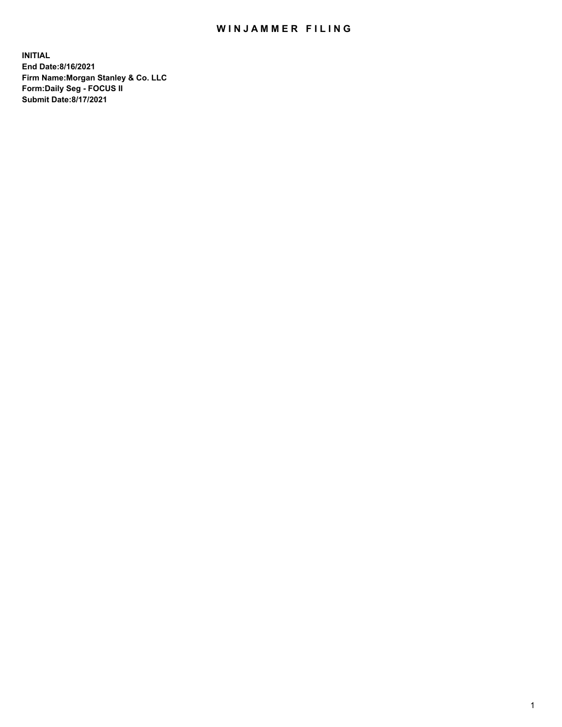## WIN JAMMER FILING

**INITIAL End Date:8/16/2021 Firm Name:Morgan Stanley & Co. LLC Form:Daily Seg - FOCUS II Submit Date:8/17/2021**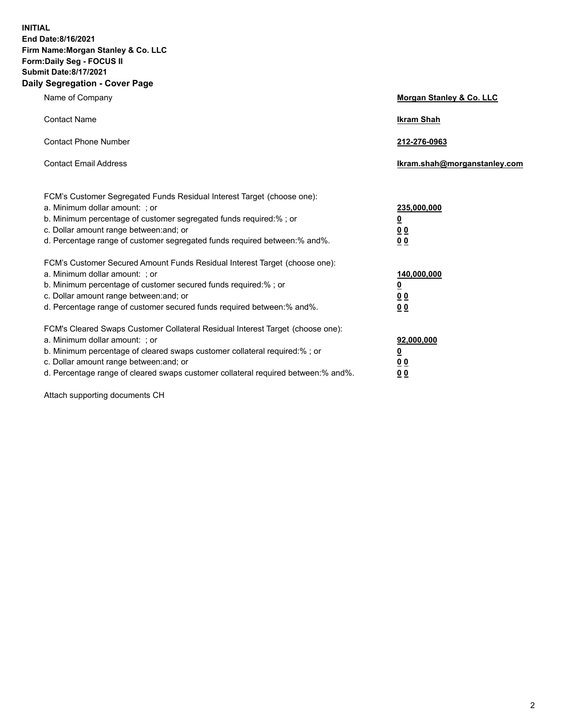**INITIAL End Date:8/16/2021 Firm Name:Morgan Stanley & Co. LLC Form:Daily Seg - FOCUS II Submit Date:8/17/2021 Daily Segregation - Cover Page**

| Name of Company                                                                                                                                                                                                                                                                                                               | Morgan Stanley & Co. LLC                               |
|-------------------------------------------------------------------------------------------------------------------------------------------------------------------------------------------------------------------------------------------------------------------------------------------------------------------------------|--------------------------------------------------------|
| <b>Contact Name</b>                                                                                                                                                                                                                                                                                                           | <b>Ikram Shah</b>                                      |
| <b>Contact Phone Number</b>                                                                                                                                                                                                                                                                                                   | 212-276-0963                                           |
| <b>Contact Email Address</b>                                                                                                                                                                                                                                                                                                  | Ikram.shah@morganstanley.com                           |
| FCM's Customer Segregated Funds Residual Interest Target (choose one):<br>a. Minimum dollar amount: ; or<br>b. Minimum percentage of customer segregated funds required:% ; or<br>c. Dollar amount range between: and; or<br>d. Percentage range of customer segregated funds required between:% and%.                        | 235,000,000<br><u>0</u><br><u>00</u><br>0 <sup>0</sup> |
| FCM's Customer Secured Amount Funds Residual Interest Target (choose one):<br>a. Minimum dollar amount: ; or<br>b. Minimum percentage of customer secured funds required:%; or<br>c. Dollar amount range between: and; or<br>d. Percentage range of customer secured funds required between:% and%.                           | 140,000,000<br><u>0</u><br><u>00</u><br>0 <sub>0</sub> |
| FCM's Cleared Swaps Customer Collateral Residual Interest Target (choose one):<br>a. Minimum dollar amount: ; or<br>b. Minimum percentage of cleared swaps customer collateral required:%; or<br>c. Dollar amount range between: and; or<br>d. Percentage range of cleared swaps customer collateral required between:% and%. | 92,000,000<br><u>0</u><br>0 Q<br>00                    |

Attach supporting documents CH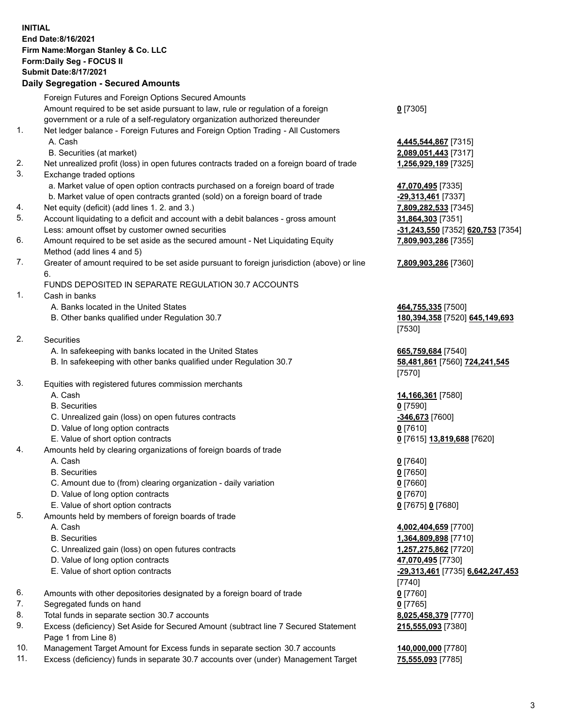## **INITIAL End Date:8/16/2021 Firm Name:Morgan Stanley & Co. LLC Form:Daily Seg - FOCUS II Submit Date:8/17/2021**

## **Daily Segregation - Secured Amounts**

|    | Foreign Futures and Foreign Options Secured Amounts                                         |                                         |
|----|---------------------------------------------------------------------------------------------|-----------------------------------------|
|    | Amount required to be set aside pursuant to law, rule or regulation of a foreign            | $0$ [7305]                              |
|    | government or a rule of a self-regulatory organization authorized thereunder                |                                         |
| 1. | Net ledger balance - Foreign Futures and Foreign Option Trading - All Customers             |                                         |
|    | A. Cash                                                                                     | 4,445,544,867 [7315]                    |
|    | B. Securities (at market)                                                                   | 2,089,051,443 [7317]                    |
| 2. | Net unrealized profit (loss) in open futures contracts traded on a foreign board of trade   | 1,256,929,189 [7325]                    |
| 3. | Exchange traded options                                                                     |                                         |
|    | a. Market value of open option contracts purchased on a foreign board of trade              | 47,070,495 [7335]                       |
|    | b. Market value of open contracts granted (sold) on a foreign board of trade                | -29,313,461 [7337]                      |
| 4. | Net equity (deficit) (add lines 1. 2. and 3.)                                               | 7,809,282,533 [7345]                    |
| 5. | Account liquidating to a deficit and account with a debit balances - gross amount           | 31,864,303 [7351]                       |
|    | Less: amount offset by customer owned securities                                            | -31,243,550 [7352] 620,753 [7354]       |
| 6. | Amount required to be set aside as the secured amount - Net Liquidating Equity              | 7,809,903,286 [7355]                    |
|    | Method (add lines 4 and 5)                                                                  |                                         |
| 7. | Greater of amount required to be set aside pursuant to foreign jurisdiction (above) or line | 7,809,903,286 [7360]                    |
|    | 6.                                                                                          |                                         |
|    | FUNDS DEPOSITED IN SEPARATE REGULATION 30.7 ACCOUNTS                                        |                                         |
| 1. | Cash in banks                                                                               |                                         |
|    | A. Banks located in the United States                                                       | 464,755,335 [7500]                      |
|    | B. Other banks qualified under Regulation 30.7                                              | 180, 394, 358 [7520] 645, 149, 693      |
|    |                                                                                             | [7530]                                  |
| 2. | <b>Securities</b>                                                                           |                                         |
|    | A. In safekeeping with banks located in the United States                                   | 665,759,684 [7540]                      |
|    | B. In safekeeping with other banks qualified under Regulation 30.7                          | 58,481,861 [7560] 724,241,545<br>[7570] |
| 3. | Equities with registered futures commission merchants                                       |                                         |
|    | A. Cash                                                                                     | 14,166,361 [7580]                       |
|    | <b>B.</b> Securities                                                                        | $0$ [7590]                              |
|    | C. Unrealized gain (loss) on open futures contracts                                         | -346,673 [7600]                         |
|    | D. Value of long option contracts                                                           | $0$ [7610]                              |
|    | E. Value of short option contracts                                                          | 0 [7615] 13,819,688 [7620]              |
| 4. | Amounts held by clearing organizations of foreign boards of trade                           |                                         |
|    | A. Cash                                                                                     | $0$ [7640]                              |
|    | <b>B.</b> Securities                                                                        | $0$ [7650]                              |
|    | C. Amount due to (from) clearing organization - daily variation                             | $0$ [7660]                              |
|    | D. Value of long option contracts                                                           | $0$ [7670]                              |
|    | E. Value of short option contracts                                                          | 0 [7675] 0 [7680]                       |
| 5. | Amounts held by members of foreign boards of trade                                          |                                         |
|    | A. Cash                                                                                     | 4,002,404,659 [7700]                    |
|    | <b>B.</b> Securities                                                                        | 1,364,809,898 [7710]                    |
|    | C. Unrealized gain (loss) on open futures contracts                                         | 1,257,275,862 [7720]                    |
|    | D. Value of long option contracts                                                           | 47,070,495 [7730]                       |
|    | E. Value of short option contracts                                                          | -29,313,461 [7735] 6,642,247,453        |
|    |                                                                                             | [7740]                                  |
| 6. | Amounts with other depositories designated by a foreign board of trade                      | $0$ [7760]                              |
| 7. | Segregated funds on hand                                                                    | $0$ [7765]                              |
| 8. | Total funds in separate section 30.7 accounts                                               | 8,025,458,379 [7770]                    |
| 9. | Excess (deficiency) Set Aside for Secured Amount (subtract line 7 Secured Statement         | 215,555,093 [7380]                      |
|    | Page 1 from Line 8)                                                                         |                                         |

- 10. Management Target Amount for Excess funds in separate section 30.7 accounts **140,000,000** [7780]
- 11. Excess (deficiency) funds in separate 30.7 accounts over (under) Management Target **75,555,093** [7785]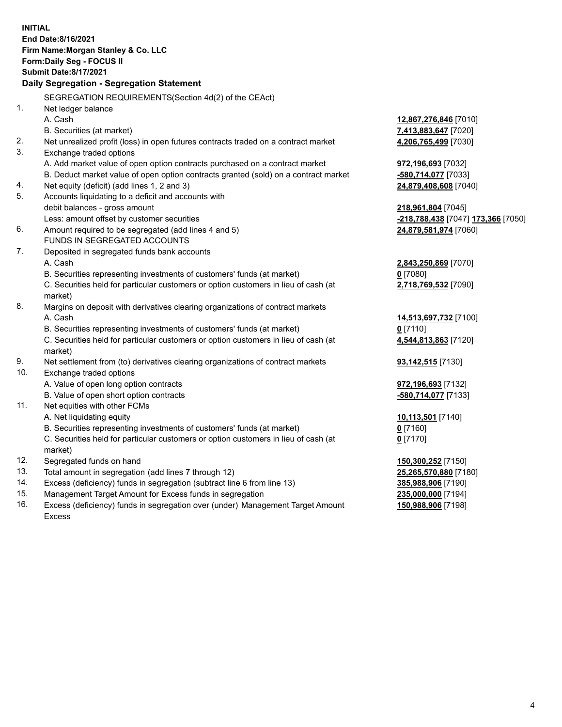**INITIAL End Date:8/16/2021 Firm Name:Morgan Stanley & Co. LLC Form:Daily Seg - FOCUS II Submit Date:8/17/2021 Daily Segregation - Segregation Statement** SEGREGATION REQUIREMENTS(Section 4d(2) of the CEAct) 1. Net ledger balance A. Cash **12,867,276,846** [7010] B. Securities (at market) **7,413,883,647** [7020] 2. Net unrealized profit (loss) in open futures contracts traded on a contract market **4,206,765,499** [7030] 3. Exchange traded options A. Add market value of open option contracts purchased on a contract market **972,196,693** [7032] B. Deduct market value of open option contracts granted (sold) on a contract market **-580,714,077** [7033] 4. Net equity (deficit) (add lines 1, 2 and 3) **24,879,408,608** [7040] 5. Accounts liquidating to a deficit and accounts with debit balances - gross amount **218,961,804** [7045] Less: amount offset by customer securities **-218,788,438** [7047] **173,366** [7050] 6. Amount required to be segregated (add lines 4 and 5) **24,879,581,974** [7060] FUNDS IN SEGREGATED ACCOUNTS 7. Deposited in segregated funds bank accounts A. Cash **2,843,250,869** [7070] B. Securities representing investments of customers' funds (at market) **0** [7080] C. Securities held for particular customers or option customers in lieu of cash (at market) **2,718,769,532** [7090] 8. Margins on deposit with derivatives clearing organizations of contract markets A. Cash **14,513,697,732** [7100] B. Securities representing investments of customers' funds (at market) **0** [7110] C. Securities held for particular customers or option customers in lieu of cash (at market) **4,544,813,863** [7120] 9. Net settlement from (to) derivatives clearing organizations of contract markets **93,142,515** [7130] 10. Exchange traded options A. Value of open long option contracts **972,196,693** [7132] B. Value of open short option contracts **-580,714,077** [7133] 11. Net equities with other FCMs A. Net liquidating equity **10,113,501** [7140] B. Securities representing investments of customers' funds (at market) **0** [7160] C. Securities held for particular customers or option customers in lieu of cash (at market) **0** [7170] 12. Segregated funds on hand **150,300,252** [7150] 13. Total amount in segregation (add lines 7 through 12) **25,265,570,880** [7180] 14. Excess (deficiency) funds in segregation (subtract line 6 from line 13) **385,988,906** [7190] 15. Management Target Amount for Excess funds in segregation **235,000,000** [7194] **150,988,906** [7198]

16. Excess (deficiency) funds in segregation over (under) Management Target Amount Excess